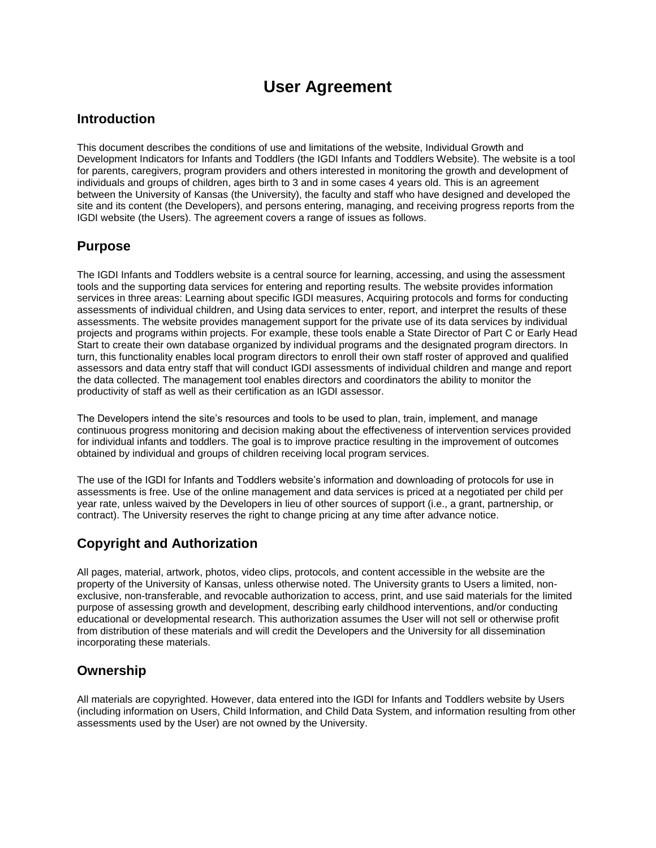# **User Agreement**

#### **Introduction**

This document describes the conditions of use and limitations of the website, Individual Growth and Development Indicators for Infants and Toddlers (the IGDI Infants and Toddlers Website). The website is a tool for parents, caregivers, program providers and others interested in monitoring the growth and development of individuals and groups of children, ages birth to 3 and in some cases 4 years old. This is an agreement between the University of Kansas (the University), the faculty and staff who have designed and developed the site and its content (the Developers), and persons entering, managing, and receiving progress reports from the IGDI website (the Users). The agreement covers a range of issues as follows.

#### **Purpose**

The IGDI Infants and Toddlers website is a central source for learning, accessing, and using the assessment tools and the supporting data services for entering and reporting results. The website provides information services in three areas: Learning about specific IGDI measures, Acquiring protocols and forms for conducting assessments of individual children, and Using data services to enter, report, and interpret the results of these assessments. The website provides management support for the private use of its data services by individual projects and programs within projects. For example, these tools enable a State Director of Part C or Early Head Start to create their own database organized by individual programs and the designated program directors. In turn, this functionality enables local program directors to enroll their own staff roster of approved and qualified assessors and data entry staff that will conduct IGDI assessments of individual children and mange and report the data collected. The management tool enables directors and coordinators the ability to monitor the productivity of staff as well as their certification as an IGDI assessor.

The Developers intend the site's resources and tools to be used to plan, train, implement, and manage continuous progress monitoring and decision making about the effectiveness of intervention services provided for individual infants and toddlers. The goal is to improve practice resulting in the improvement of outcomes obtained by individual and groups of children receiving local program services.

The use of the IGDI for Infants and Toddlers website's information and downloading of protocols for use in assessments is free. Use of the online management and data services is priced at a negotiated per child per year rate, unless waived by the Developers in lieu of other sources of support (i.e., a grant, partnership, or contract). The University reserves the right to change pricing at any time after advance notice.

## **Copyright and Authorization**

All pages, material, artwork, photos, video clips, protocols, and content accessible in the website are the property of the University of Kansas, unless otherwise noted. The University grants to Users a limited, nonexclusive, non-transferable, and revocable authorization to access, print, and use said materials for the limited purpose of assessing growth and development, describing early childhood interventions, and/or conducting educational or developmental research. This authorization assumes the User will not sell or otherwise profit from distribution of these materials and will credit the Developers and the University for all dissemination incorporating these materials.

## **Ownership**

All materials are copyrighted. However, data entered into the IGDI for Infants and Toddlers website by Users (including information on Users, Child Information, and Child Data System, and information resulting from other assessments used by the User) are not owned by the University.